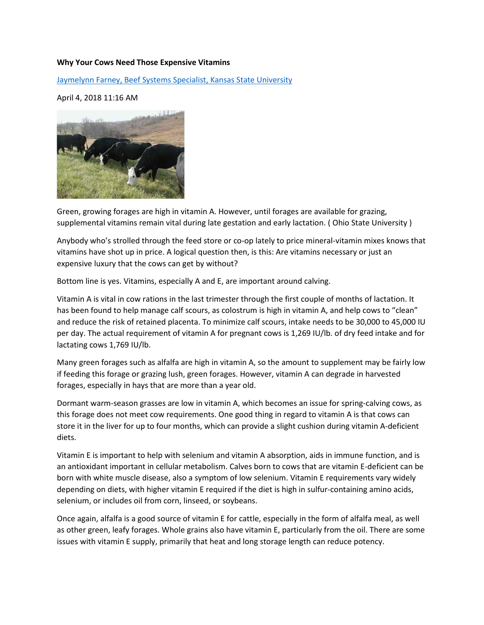## **Why Your Cows Need Those Expensive Vitamins**

[Jaymelynn Farney, Beef Systems Specialist, Kansas State University](https://www.drovers.com/contributor/jaymelynn-farney-beef-systems-specialist-kansas-state-university)

April 4, 2018 11:16 AM



Green, growing forages are high in vitamin A. However, until forages are available for grazing, supplemental vitamins remain vital during late gestation and early lactation. ( Ohio State University )

Anybody who's strolled through the feed store or co-op lately to price mineral-vitamin mixes knows that vitamins have shot up in price. A logical question then, is this: Are vitamins necessary or just an expensive luxury that the cows can get by without?

Bottom line is yes. Vitamins, especially A and E, are important around calving.

Vitamin A is vital in cow rations in the last trimester through the first couple of months of lactation. It has been found to help manage calf scours, as colostrum is high in vitamin A, and help cows to "clean" and reduce the risk of retained placenta. To minimize calf scours, intake needs to be 30,000 to 45,000 IU per day. The actual requirement of vitamin A for pregnant cows is 1,269 IU/lb. of dry feed intake and for lactating cows 1,769 IU/lb.

Many green forages such as alfalfa are high in vitamin A, so the amount to supplement may be fairly low if feeding this forage or grazing lush, green forages. However, vitamin A can degrade in harvested forages, especially in hays that are more than a year old.

Dormant warm-season grasses are low in vitamin A, which becomes an issue for spring-calving cows, as this forage does not meet cow requirements. One good thing in regard to vitamin A is that cows can store it in the liver for up to four months, which can provide a slight cushion during vitamin A-deficient diets.

Vitamin E is important to help with selenium and vitamin A absorption, aids in immune function, and is an antioxidant important in cellular metabolism. Calves born to cows that are vitamin E-deficient can be born with white muscle disease, also a symptom of low selenium. Vitamin E requirements vary widely depending on diets, with higher vitamin E required if the diet is high in sulfur-containing amino acids, selenium, or includes oil from corn, linseed, or soybeans.

Once again, alfalfa is a good source of vitamin E for cattle, especially in the form of alfalfa meal, as well as other green, leafy forages. Whole grains also have vitamin E, particularly from the oil. There are some issues with vitamin E supply, primarily that heat and long storage length can reduce potency.